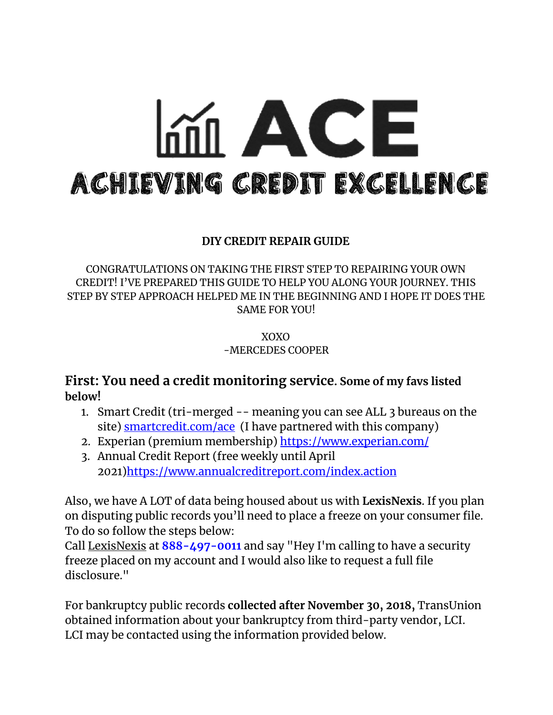# $m$  ACE ACHIEVING CREDIT EXCELLENCE

#### **DIY CREDIT REPAIR GUIDE**

CONGRATULATIONS ON TAKING THE FIRST STEP TO REPAIRING YOUR OWN CREDIT! I'VE PREPARED THIS GUIDE TO HELP YOU ALONG YOUR JOURNEY. THIS STEP BY STEP APPROACH HELPED ME IN THE BEGINNING AND I HOPE IT DOES THE SAME FOR YOU!

> XOXO -MERCEDES COOPER

**First: You need a credit monitoring service. Some of my favs listed below!**

- 1. Smart Credit (tri-merged -- meaning you can see ALL 3 bureaus on the site) **[smartcredit.com/ace](http://smartcredit.com/ace?fbclid=IwAR2xWrCn63PqyVITg-2K_tZPtjCBOjsIxmcR8gJ9faR3z_MHjjiGgPMJ0-s)** (I have partnered with this company)
- 2. Experian (premium membership) <https://www.experian.com/>
- 3. Annual Credit Report (free weekly until April 2021[\)https://www.annualcreditreport.com/index.action](https://www.annualcreditreport.com/index.action)

Also, we have A LOT of data being housed about us with **LexisNexis**. If you plan on disputing public records you'll need to place a freeze on your consumer file. To do so follow the steps below:

Call LexisNexis at **888-497-0011** and say "Hey I'm calling to have a security freeze placed on my account and I would also like to request a full file disclosure."

For bankruptcy public records **collected after November 30, 2018,** TransUnion obtained information about your bankruptcy from third-party vendor, LCI. LCI may be contacted using the information provided below.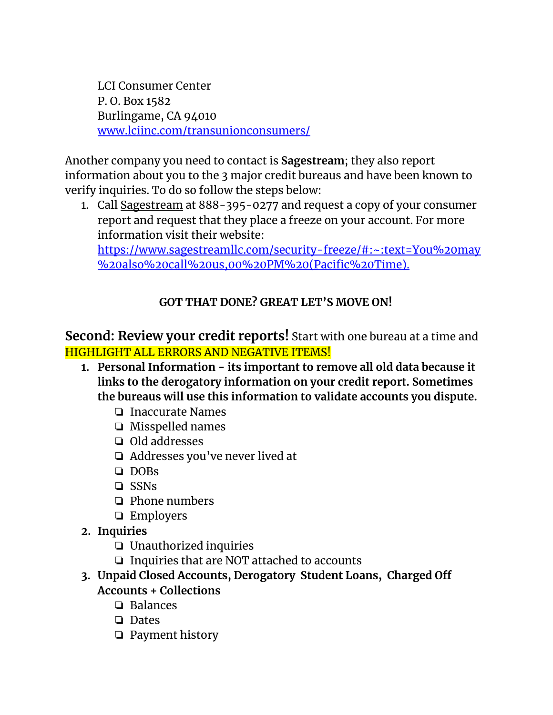LCI Consumer Center P. O. Box 1582 Burlingame, CA 94010 [www.lciinc.com/transunionconsumers/](https://www.lciinc.com/transunionconsumers/)

Another company you need to contact is **Sagestream**; they also report information about you to the 3 major credit bureaus and have been known to verify inquiries. To do so follow the steps below:

1. Call Sagestream at 888-395-0277 and request a copy of your consumer report and request that they place a freeze on your account. For more information visit their website:

[https://www.sagestreamllc.com/security-freeze/#:~:text=You%20may](https://www.sagestreamllc.com/security-freeze/#:~:text=You%20may%20also%20call%20us,00%20PM%20(Pacific%20Time).) [%20also%20call%20us,00%20PM%20\(Pacific%20Time\).](https://www.sagestreamllc.com/security-freeze/#:~:text=You%20may%20also%20call%20us,00%20PM%20(Pacific%20Time).)

## **GOT THAT DONE? GREAT LET'S MOVE ON!**

## **Second: Review your credit reports!** Start with one bureau at a time and HIGHLIGHT ALL ERRORS AND NEGATIVE ITEMS!

- **1. Personal Information - its important to remove all old data because it links to the derogatory information on your credit report. Sometimes the bureaus will use this information to validate accounts you dispute.**
	- ❏ Inaccurate Names
	- ❏ Misspelled names
	- ❏ Old addresses
	- ❏ Addresses you've never lived at
	- ❏ DOBs
	- ❏ SSNs
	- ❏ Phone numbers
	- ❏ Employers
- **2. Inquiries**
	- ❏ Unauthorized inquiries
	- ❏ Inquiries that are NOT attached to accounts
- **3. Unpaid Closed Accounts, Derogatory Student Loans, Charged Off Accounts + Collections**
	- ❏ Balances
	- ❏ Dates
	- ❏ Payment history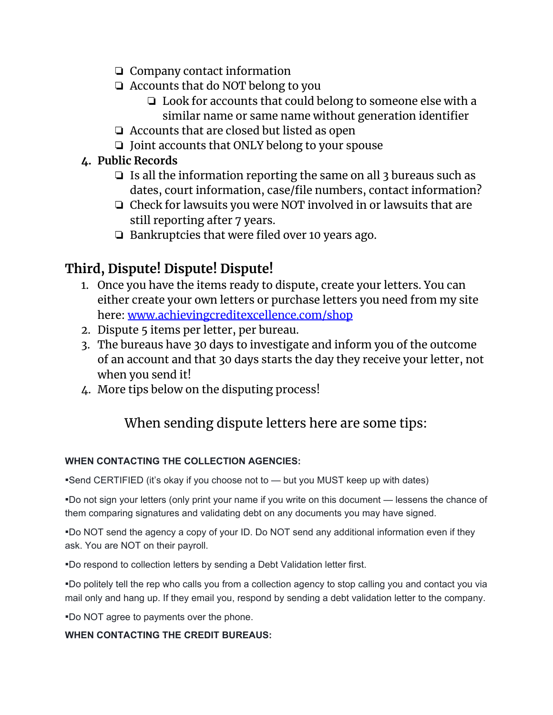- ❏ Company contact information
- ❏ Accounts that do NOT belong to you
	- ❏ Look for accounts that could belong to someone else with a similar name or same name without generation identifier
- ❏ Accounts that are closed but listed as open
- ❏ Joint accounts that ONLY belong to your spouse
- **4. Public Records**
	- ❏ Is all the information reporting the same on all 3 bureaus such as dates, court information, case/file numbers, contact information?
	- ❏ Check for lawsuits you were NOT involved in or lawsuits that are still reporting after 7 years.
	- ❏ Bankruptcies that were filed over 10 years ago.

# **Third, Dispute! Dispute! Dispute!**

- 1. Once you have the items ready to dispute, create your letters. You can either create your own letters or purchase letters you need from my site here: [www.achievingcreditexcellence.com/shop](http://www.achievingcreditexcellence.com/shop)
- 2. Dispute 5 items per letter, per bureau.
- 3. The bureaus have 30 days to investigate and inform you of the outcome of an account and that 30 days starts the day they receive your letter, not when you send it!
- 4. More tips below on the disputing process!

# When sending dispute letters here are some tips:

#### **WHEN CONTACTING THE COLLECTION AGENCIES:**

▪ Send CERTIFIED (it's okay if you choose not to — but you MUST keep up with dates)

▪ Do not sign your letters (only print your name if you write on this document — lessens the chance of them comparing signatures and validating debt on any documents you may have signed.

▪ Do NOT send the agency a copy of your ID. Do NOT send any additional information even if they ask. You are NOT on their payroll.

▪ Do respond to collection letters by sending a Debt Validation letter first.

▪ Do politely tell the rep who calls you from a collection agency to stop calling you and contact you via mail only and hang up. If they email you, respond by sending a debt validation letter to the company.

▪ Do NOT agree to payments over the phone.

#### **WHEN CONTACTING THE CREDIT BUREAUS:**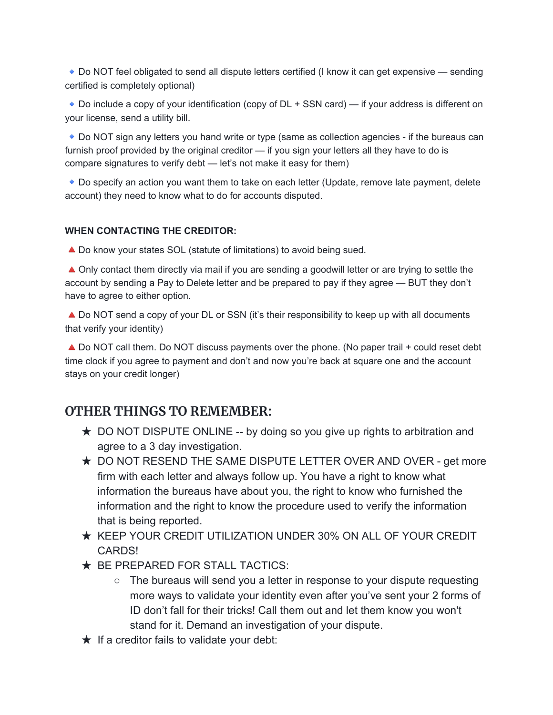Do NOT feel obligated to send all dispute letters certified (I know it can get expensive — sending certified is completely optional)

◆ Do include a copy of your identification (copy of DL + SSN card) — if your address is different on your license, send a utility bill.

Do NOT sign any letters you hand write or type (same as collection agencies - if the bureaus can furnish proof provided by the original creditor — if you sign your letters all they have to do is compare signatures to verify debt — let's not make it easy for them)

Do specify an action you want them to take on each letter (Update, remove late payment, delete account) they need to know what to do for accounts disputed.

#### **WHEN CONTACTING THE CREDITOR:**

▲ Do know your states SOL (statute of limitations) to avoid being sued.

▲ Only contact them directly via mail if you are sending a goodwill letter or are trying to settle the account by sending a Pay to Delete letter and be prepared to pay if they agree — BUT they don't have to agree to either option.

▲ Do NOT send a copy of your DL or SSN (it's their responsibility to keep up with all documents that verify your identity)

▲ Do NOT call them. Do NOT discuss payments over the phone. (No paper trail + could reset debt time clock if you agree to payment and don't and now you're back at square one and the account stays on your credit longer)

#### **OTHER THINGS TO REMEMBER:**

- $\star$  DO NOT DISPUTE ONLINE -- by doing so you give up rights to arbitration and agree to a 3 day investigation.
- ★ DO NOT RESEND THE SAME DISPUTE LETTER OVER AND OVER get more firm with each letter and always follow up. You have a right to know what information the bureaus have about you, the right to know who furnished the information and the right to know the procedure used to verify the information that is being reported.
- ★ KEEP YOUR CREDIT UTILIZATION UNDER 30% ON ALL OF YOUR CREDIT CARDS!
- ★ BE PREPARED FOR STALL TACTICS:
	- The bureaus will send you a letter in response to your dispute requesting more ways to validate your identity even after you've sent your 2 forms of ID don't fall for their tricks! Call them out and let them know you won't stand for it. Demand an investigation of your dispute.
- $\star$  If a creditor fails to validate your debt: